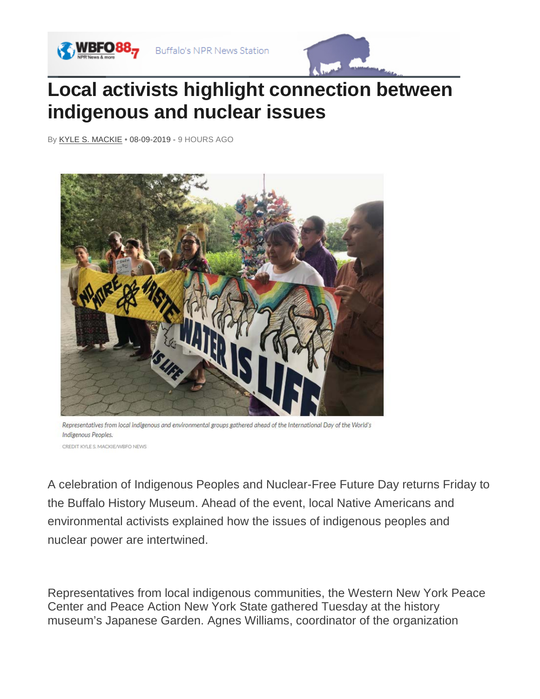



## **Local activists highlight connection between indigenous and nuclear issues**

By [KYLE S. MACKIE](https://news.wbfo.org/people/kyle-s-mackie) *•* 08-09-2019 - 9 HOURS AGO



Representatives from local indigenous and environmental groups gathered ahead of the International Day of the World's Indigenous Peoples. CREDIT KYLE S MACKIE/WREQ NEWS

A celebration of Indigenous Peoples and Nuclear-Free Future Day returns Friday to the Buffalo History Museum. Ahead of the event, local Native Americans and environmental activists explained how the issues of indigenous peoples and nuclear power are intertwined.

Representatives from local indigenous communities, the Western New York Peace Center and Peace Action New York State gathered Tuesday at the history museum's Japanese Garden. Agnes Williams, coordinator of the organization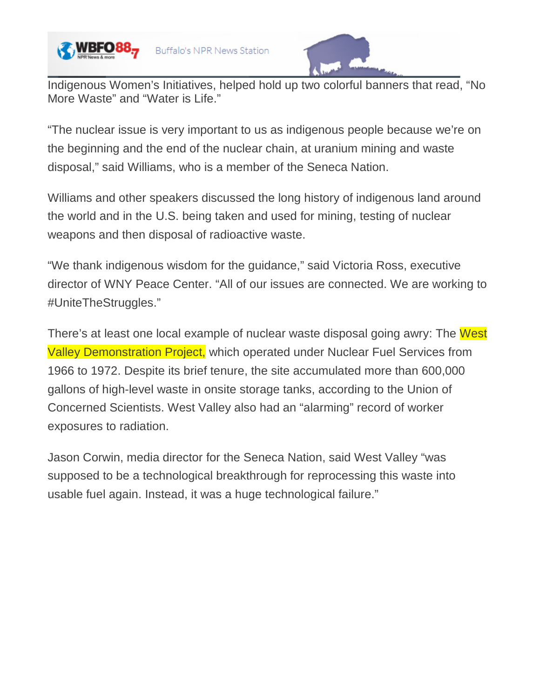



Indigenous Women's Initiatives, helped hold up two colorful banners that read, "No More Waste" and "Water is Life."

"The nuclear issue is very important to us as indigenous people because we're on the beginning and the end of the nuclear chain, at uranium mining and waste disposal," said Williams, who is a member of the Seneca Nation.

Williams and other speakers discussed the long history of indigenous land around the world and in the U.S. being taken and used for mining, testing of nuclear weapons and then disposal of radioactive waste.

"We thank indigenous wisdom for the guidance," said Victoria Ross, executive director of WNY Peace Center. "All of our issues are connected. We are working to #UniteTheStruggles."

There's at least one local example of nuclear waste disposal going awry: The West Valley Demonstration Project, which operated under Nuclear Fuel Services from 1966 to 1972. Despite its brief tenure, the site accumulated more than 600,000 gallons of high-level waste in onsite storage tanks, according to the Union of Concerned Scientists. West Valley also had an "alarming" record of worker exposures to radiation.

Jason Corwin, media director for the Seneca Nation, said West Valley "was supposed to be a technological breakthrough for reprocessing this waste into usable fuel again. Instead, it was a huge technological failure."